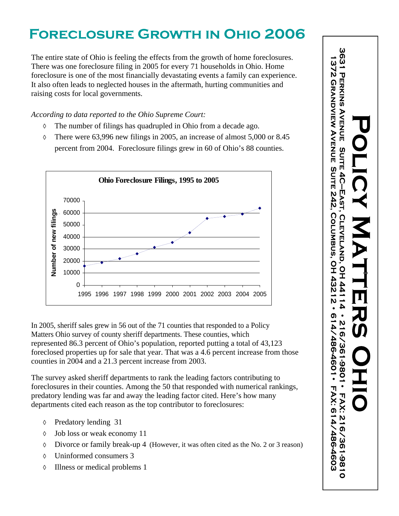## **FORECLOSURE GROWTH IN OHIO 2006**

The entire state of Ohio is feeling the effects from the growth of home foreclosures.<br>
There was one foreclosure filing in 2005 for every 71 households in Ohio. Home<br>
foreclosure is one of the most financially devastating There was one foreclosure filing in 2005 for every 71 households in Ohio. Home foreclosure is one of the most financially devastating events a family can experience. It also often leads to neglected houses in the aftermath, hurting communities and raising costs for local governments.

*According to data reported to the Ohio Supreme Court:*

- The number of filings has quadrupled in Ohio from a decade ago.  $\Diamond$
- There were 63,996 new filings in 2005, an increase of almost 5,000 or 8.45  $\Diamond$ percent from 2004. Foreclosure filings grew in 60 of Ohio's 88 counties.



In 2005, sheriff sales grew in 56 out of the 71 counties that responded to a Policy<br>
Matters Ohio is vory of county sheriff departments. These counties, which<br>
represented 86.3 percent of Ohio's population, reported putti Matters Ohio survey of county sheriff departments. These counties, which<br>
represented 86.3 percent of Ohio's population, reported putting a total of 43,123<br>
foreclosed properties up for sale that year. That was a 4.6 perc represented 86.3 percent of Ohio's population, reported putting a total of 43,123 foreclosed properties up for sale that year. That was a 4.6 percent increase from those counties in 2004 and a 21.3 percent increase from 2003.

The survey asked sheriff departments to rank the leading factors contributing to foreclosures in their counties. Among the 50 that responded with numerical rankings, predatory lending was far and away the leading factor cited. Here's how many  $\begin{bmatrix} P & \pi \\ \pi & P \end{bmatrix}$ departments cited each reason as the top contributor to foreclosures:<br>  $\Diamond$  Predatory lending 31

- 
- Job loss or weak economy 11  $\Diamond$
- Divorce or family break-up 4 (However, it was often cited as the No. 2 or 3 reason)  $\Diamond$
- Uninformed consumers 3  $\Diamond$
- Illness or medical problems 1  $\Diamond$